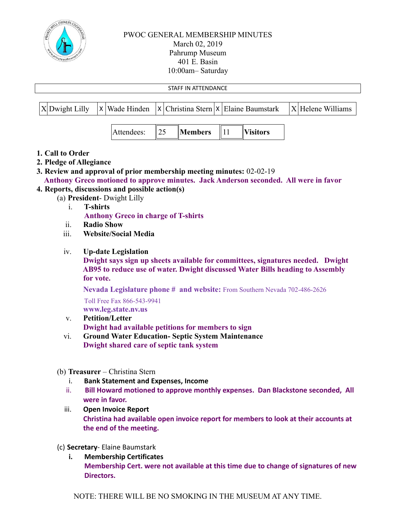

# PWOC GENERAL MEMBERSHIP MINUTES March 02, 2019 Pahrump Museum 401 E. Basin 10:00am– Saturday

|                                                                  |                                                                                                                                                                                                            |                                                                                                                                                                                                                                    |                                          | STAFF IN ATTENDANCE |    |                 |                                                                                      |
|------------------------------------------------------------------|------------------------------------------------------------------------------------------------------------------------------------------------------------------------------------------------------------|------------------------------------------------------------------------------------------------------------------------------------------------------------------------------------------------------------------------------------|------------------------------------------|---------------------|----|-----------------|--------------------------------------------------------------------------------------|
|                                                                  |                                                                                                                                                                                                            |                                                                                                                                                                                                                                    |                                          |                     |    |                 |                                                                                      |
| X Dwight Lilly                                                   | $\times$                                                                                                                                                                                                   | Wade Hinden                                                                                                                                                                                                                        | X Christina Stern   X   Elaine Baumstark |                     |    |                 | X Helene Williams                                                                    |
|                                                                  |                                                                                                                                                                                                            | Attendees:                                                                                                                                                                                                                         | 25                                       | <b>Members</b>      | 11 | <b>Visitors</b> |                                                                                      |
| 1. Call to Order<br>2. Pledge of Allegiance<br>1.<br>ii.<br>iii. | <b>T-shirts</b><br><b>Radio Show</b>                                                                                                                                                                       | 3. Review and approval of prior membership meeting minutes: 02-02-19<br>4. Reports, discussions and possible action(s)<br>(a) President- Dwight Lilly<br><b>Anthony Greco in charge of T-shirts</b><br><b>Website/Social Media</b> |                                          |                     |    |                 | Anthony Greco motioned to approve minutes. Jack Anderson seconded. All were in favor |
| iv.                                                              | <b>Up-date Legislation</b><br>Dwight says sign up sheets available for committees, signatures needed. Dwight<br>AB95 to reduce use of water. Dwight discussed Water Bills heading to Assembly<br>for vote. |                                                                                                                                                                                                                                    |                                          |                     |    |                 |                                                                                      |
|                                                                  | <b>Nevada Legislature phone # and website:</b> From Southern Nevada 702-486-2626                                                                                                                           |                                                                                                                                                                                                                                    |                                          |                     |    |                 |                                                                                      |
|                                                                  | Toll Free Fax 866-543-9941                                                                                                                                                                                 |                                                                                                                                                                                                                                    |                                          |                     |    |                 |                                                                                      |
| V.                                                               | www.leg.state.nv.us<br><b>Petition/Letter</b>                                                                                                                                                              |                                                                                                                                                                                                                                    |                                          |                     |    |                 |                                                                                      |
|                                                                  |                                                                                                                                                                                                            | Dwight had available petitions for members to sign                                                                                                                                                                                 |                                          |                     |    |                 |                                                                                      |
| vi.                                                              | <b>Ground Water Education- Septic System Maintenance</b>                                                                                                                                                   |                                                                                                                                                                                                                                    |                                          |                     |    |                 |                                                                                      |
|                                                                  | Dwight shared care of septic tank system                                                                                                                                                                   |                                                                                                                                                                                                                                    |                                          |                     |    |                 |                                                                                      |

- (b) **Treasurer** Christina Stern
	- i. **Bank Statement and Expenses, Income**
	- ii. **Bill Howard motioned to approve monthly expenses. Dan Blackstone seconded, All were in favor.**
	- iii. **Open Invoice Report Christina had available open invoice report for members to look at their accounts at the end of the meeting.**
- (c) **Secretary** Elaine Baumstark
	- **i. Membership Certificates Membership Cert. were not available at this time due to change of signatures of new Directors.**

NOTE: THERE WILL BE NO SMOKING IN THE MUSEUM AT ANY TIME.